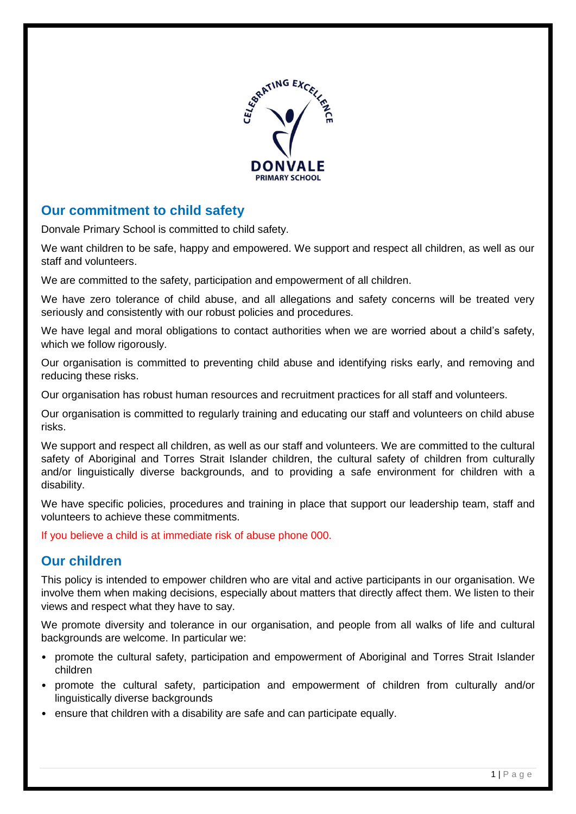

# **Our commitment to child safety**

Donvale Primary School is committed to child safety.

We want children to be safe, happy and empowered. We support and respect all children, as well as our staff and volunteers.

We are committed to the safety, participation and empowerment of all children.

We have zero tolerance of child abuse, and all allegations and safety concerns will be treated very seriously and consistently with our robust policies and procedures.

We have legal and moral obligations to contact authorities when we are worried about a child's safety, which we follow rigorously.

Our organisation is committed to preventing child abuse and identifying risks early, and removing and reducing these risks.

Our organisation has robust human resources and recruitment practices for all staff and volunteers.

Our organisation is committed to regularly training and educating our staff and volunteers on child abuse risks.

We support and respect all children, as well as our staff and volunteers. We are committed to the cultural safety of Aboriginal and Torres Strait Islander children, the cultural safety of children from culturally and/or linguistically diverse backgrounds, and to providing a safe environment for children with a disability.

We have specific policies, procedures and training in place that support our leadership team, staff and volunteers to achieve these commitments.

If you believe a child is at immediate risk of abuse phone 000.

## **Our children**

This policy is intended to empower children who are vital and active participants in our organisation. We involve them when making decisions, especially about matters that directly affect them. We listen to their views and respect what they have to say.

We promote diversity and tolerance in our organisation, and people from all walks of life and cultural backgrounds are welcome. In particular we:

- promote the cultural safety, participation and empowerment of Aboriginal and Torres Strait Islander children
- promote the cultural safety, participation and empowerment of children from culturally and/or linguistically diverse backgrounds
- ensure that children with a disability are safe and can participate equally.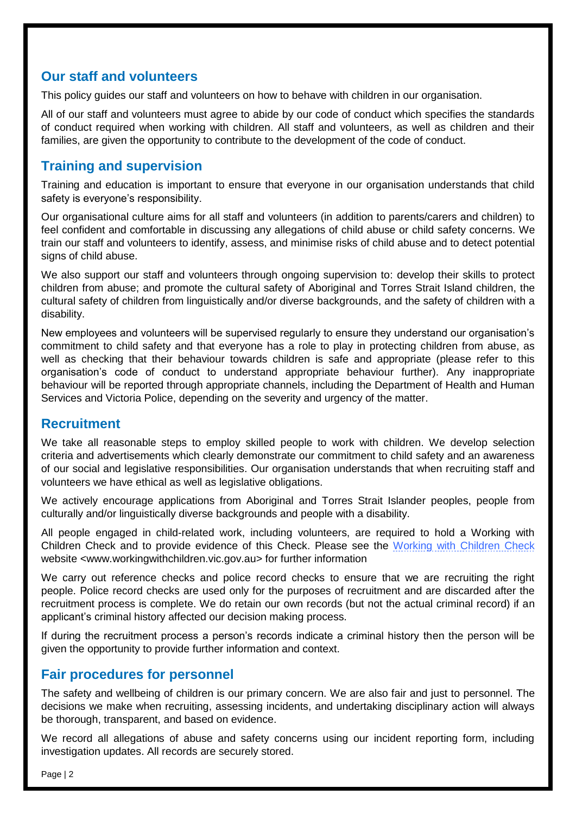# **Our staff and volunteers**

This policy guides our staff and volunteers on how to behave with children in our organisation.

All of our staff and volunteers must agree to abide by our code of conduct which specifies the standards of conduct required when working with children. All staff and volunteers, as well as children and their families, are given the opportunity to contribute to the development of the code of conduct.

# **Training and supervision**

Training and education is important to ensure that everyone in our organisation understands that child safety is everyone's responsibility.

Our organisational culture aims for all staff and volunteers (in addition to parents/carers and children) to feel confident and comfortable in discussing any allegations of child abuse or child safety concerns. We train our staff and volunteers to identify, assess, and minimise risks of child abuse and to detect potential signs of child abuse.

We also support our staff and volunteers through ongoing supervision to: develop their skills to protect children from abuse; and promote the cultural safety of Aboriginal and Torres Strait Island children, the cultural safety of children from linguistically and/or diverse backgrounds, and the safety of children with a disability.

New employees and volunteers will be supervised regularly to ensure they understand our organisation's commitment to child safety and that everyone has a role to play in protecting children from abuse, as well as checking that their behaviour towards children is safe and appropriate (please refer to this organisation's code of conduct to understand appropriate behaviour further). Any inappropriate behaviour will be reported through appropriate channels, including the Department of Health and Human Services and Victoria Police, depending on the severity and urgency of the matter.

# **Recruitment**

We take all reasonable steps to employ skilled people to work with children. We develop selection criteria and advertisements which clearly demonstrate our commitment to child safety and an awareness of our social and legislative responsibilities. Our organisation understands that when recruiting staff and volunteers we have ethical as well as legislative obligations.

We actively encourage applications from Aboriginal and Torres Strait Islander peoples, people from culturally and/or linguistically diverse backgrounds and people with a disability.

All people engaged in child-related work, including volunteers, are required to hold a Working with Children Check and to provide evidence of this Check. Please see the [Working with Children Check](http://www.workingwithchildren.vic.gov.au/) website <www.workingwithchildren.vic.gov.au> for further information

We carry out reference checks and police record checks to ensure that we are recruiting the right people. Police record checks are used only for the purposes of recruitment and are discarded after the recruitment process is complete. We do retain our own records (but not the actual criminal record) if an applicant's criminal history affected our decision making process.

If during the recruitment process a person's records indicate a criminal history then the person will be given the opportunity to provide further information and context.

## **Fair procedures for personnel**

The safety and wellbeing of children is our primary concern. We are also fair and just to personnel. The decisions we make when recruiting, assessing incidents, and undertaking disciplinary action will always be thorough, transparent, and based on evidence.

We record all allegations of abuse and safety concerns using our incident reporting form, including investigation updates. All records are securely stored.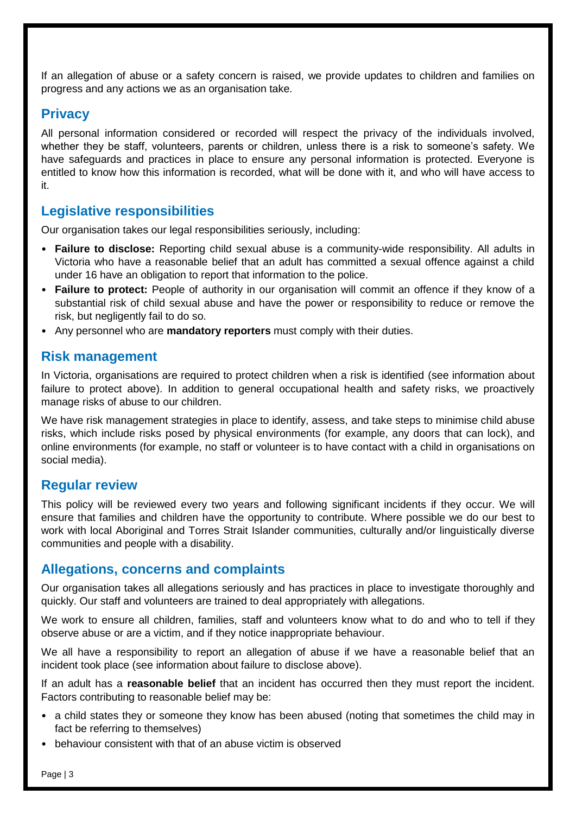If an allegation of abuse or a safety concern is raised, we provide updates to children and families on progress and any actions we as an organisation take.

## **Privacy**

All personal information considered or recorded will respect the privacy of the individuals involved, whether they be staff, volunteers, parents or children, unless there is a risk to someone's safety. We have safeguards and practices in place to ensure any personal information is protected. Everyone is entitled to know how this information is recorded, what will be done with it, and who will have access to it.

## **Legislative responsibilities**

Our organisation takes our legal responsibilities seriously, including:

- **Failure to disclose:** Reporting child sexual abuse is a community-wide responsibility. All adults in Victoria who have a reasonable belief that an adult has committed a sexual offence against a child under 16 have an obligation to report that information to the police.
- **Failure to protect:** People of authority in our organisation will commit an offence if they know of a substantial risk of child sexual abuse and have the power or responsibility to reduce or remove the risk, but negligently fail to do so.
- Any personnel who are **mandatory reporters** must comply with their duties.

#### **Risk management**

In Victoria, organisations are required to protect children when a risk is identified (see information about failure to protect above). In addition to general occupational health and safety risks, we proactively manage risks of abuse to our children.

We have risk management strategies in place to identify, assess, and take steps to minimise child abuse risks, which include risks posed by physical environments (for example, any doors that can lock), and online environments (for example, no staff or volunteer is to have contact with a child in organisations on social media).

#### **Regular review**

This policy will be reviewed every two years and following significant incidents if they occur. We will ensure that families and children have the opportunity to contribute. Where possible we do our best to work with local Aboriginal and Torres Strait Islander communities, culturally and/or linguistically diverse communities and people with a disability.

#### **Allegations, concerns and complaints**

Our organisation takes all allegations seriously and has practices in place to investigate thoroughly and quickly. Our staff and volunteers are trained to deal appropriately with allegations.

We work to ensure all children, families, staff and volunteers know what to do and who to tell if they observe abuse or are a victim, and if they notice inappropriate behaviour.

We all have a responsibility to report an allegation of abuse if we have a reasonable belief that an incident took place (see information about failure to disclose above).

If an adult has a **reasonable belief** that an incident has occurred then they must report the incident. Factors contributing to reasonable belief may be:

- a child states they or someone they know has been abused (noting that sometimes the child may in fact be referring to themselves)
- behaviour consistent with that of an abuse victim is observed